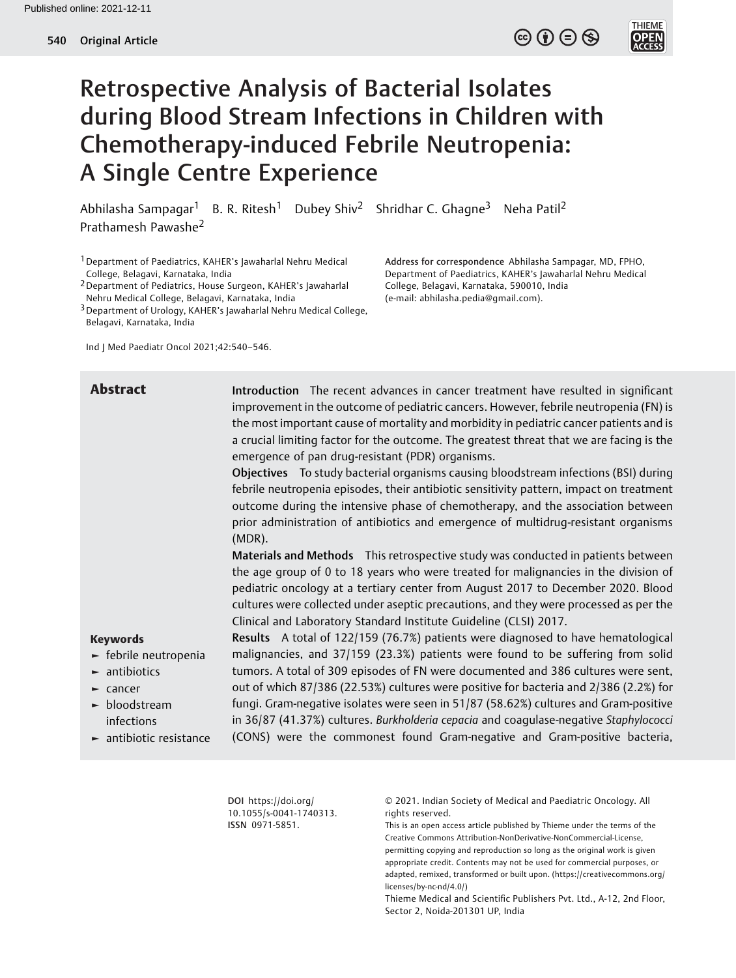$\circledcirc$  (i)  $\ominus$   $\circledcirc$ 



# Retrospective Analysis of Bacterial Isolates during Blood Stream Infections in Children with Chemotherapy-induced Febrile Neutropenia: A Single Centre Experience

Abhilasha Sampagar<sup>1</sup> B. R. Ritesh<sup>1</sup> Dubey Shiv<sup>2</sup> Shridhar C. Ghagne<sup>3</sup> Neha Patil<sup>2</sup> Prathamesh Pawashe<sup>2</sup>

1Department of Paediatrics, KAHER's Jawaharlal Nehru Medical College, Belagavi, Karnataka, India

2Department of Pediatrics, House Surgeon, KAHER's Jawaharlal Nehru Medical College, Belagavi, Karnataka, India

3Department of Urology, KAHER's Jawaharlal Nehru Medical College, Belagavi, Karnataka, India

Ind J Med Paediatr Oncol 2021;42:540–546.

Address for correspondence Abhilasha Sampagar, MD, FPHO, Department of Paediatrics, KAHER's Jawaharlal Nehru Medical College, Belagavi, Karnataka, 590010, India (e-mail: [abhilasha.pedia@gmail.com](mailto:abhilasha.pedia@gmail.com)).

Abstract Introduction The recent advances in cancer treatment have resulted in significant improvement in the outcome of pediatric cancers. However, febrile neutropenia (FN) is the most important cause of mortality and morbidity in pediatric cancer patients and is a crucial limiting factor for the outcome. The greatest threat that we are facing is the emergence of pan drug-resistant (PDR) organisms. Objectives To study bacterial organisms causing bloodstream infections (BSI) during febrile neutropenia episodes, their antibiotic sensitivity pattern, impact on treatment outcome during the intensive phase of chemotherapy, and the association between prior administration of antibiotics and emergence of multidrug-resistant organisms (MDR).

> Materials and Methods This retrospective study was conducted in patients between the age group of 0 to 18 years who were treated for malignancies in the division of pediatric oncology at a tertiary center from August 2017 to December 2020. Blood cultures were collected under aseptic precautions, and they were processed as per the Clinical and Laboratory Standard Institute Guideline (CLSI) 2017.

#### Keywords

- ► febrile neutropenia
- $\blacktriangleright$  antibiotics
- ► cancer
- ► bloodstream infections
- ► antibiotic resistance

Results A total of 122/159 (76.7%) patients were diagnosed to have hematological malignancies, and 37/159 (23.3%) patients were found to be suffering from solid tumors. A total of 309 episodes of FN were documented and 386 cultures were sent, out of which 87/386 (22.53%) cultures were positive for bacteria and 2/386 (2.2%) for fungi. Gram-negative isolates were seen in 51/87 (58.62%) cultures and Gram-positive in 36/87 (41.37%) cultures. Burkholderia cepacia and coagulase-negative Staphylococci (CONS) were the commonest found Gram-negative and Gram-positive bacteria,

DOI [https://doi.org/](https://doi.org/10.1055/s-0041-1740313) [10.1055/s-0041-1740313](https://doi.org/10.1055/s-0041-1740313). ISSN 0971-5851.

© 2021. Indian Society of Medical and Paediatric Oncology. All rights reserved.

This is an open access article published by Thieme under the terms of the Creative Commons Attribution-NonDerivative-NonCommercial-License, permitting copying and reproduction so long as the original work is given appropriate credit. Contents may not be used for commercial purposes, or adapted, remixed, transformed or built upon. (https://creativecommons.org/ licenses/by-nc-nd/4.0/)

Thieme Medical and Scientific Publishers Pvt. Ltd., A-12, 2nd Floor, Sector 2, Noida-201301 UP, India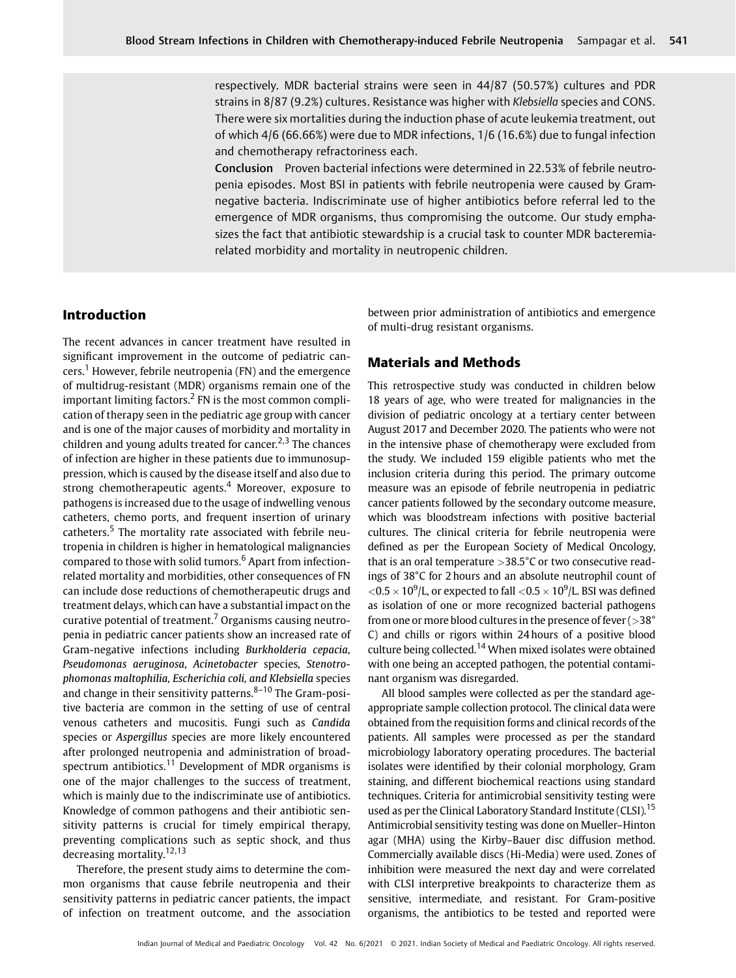respectively. MDR bacterial strains were seen in 44/87 (50.57%) cultures and PDR strains in 8/87 (9.2%) cultures. Resistance was higher with Klebsiella species and CONS. There were six mortalities during the induction phase of acute leukemia treatment, out of which 4/6 (66.66%) were due to MDR infections, 1/6 (16.6%) due to fungal infection and chemotherapy refractoriness each.

Conclusion Proven bacterial infections were determined in 22.53% of febrile neutropenia episodes. Most BSI in patients with febrile neutropenia were caused by Gramnegative bacteria. Indiscriminate use of higher antibiotics before referral led to the emergence of MDR organisms, thus compromising the outcome. Our study emphasizes the fact that antibiotic stewardship is a crucial task to counter MDR bacteremiarelated morbidity and mortality in neutropenic children.

## Introduction

The recent advances in cancer treatment have resulted in significant improvement in the outcome of pediatric cancers.<sup>1</sup> However, febrile neutropenia (FN) and the emergence of multidrug-resistant (MDR) organisms remain one of the important limiting factors.<sup>2</sup> FN is the most common complication of therapy seen in the pediatric age group with cancer and is one of the major causes of morbidity and mortality in children and young adults treated for cancer.<sup>2,3</sup> The chances of infection are higher in these patients due to immunosuppression, which is caused by the disease itself and also due to strong chemotherapeutic agents. $4$  Moreover, exposure to pathogens is increased due to the usage of indwelling venous catheters, chemo ports, and frequent insertion of urinary catheters.<sup>5</sup> The mortality rate associated with febrile neutropenia in children is higher in hematological malignancies compared to those with solid tumors.<sup>6</sup> Apart from infectionrelated mortality and morbidities, other consequences of FN can include dose reductions of chemotherapeutic drugs and treatment delays, which can have a substantial impact on the curative potential of treatment.<sup>7</sup> Organisms causing neutropenia in pediatric cancer patients show an increased rate of Gram-negative infections including Burkholderia cepacia, Pseudomonas aeruginosa, Acinetobacter species, Stenotrophomonas maltophilia, Escherichia coli, and Klebsiella species and change in their sensitivity patterns. $8-10$  The Gram-positive bacteria are common in the setting of use of central venous catheters and mucositis. Fungi such as Candida species or Aspergillus species are more likely encountered after prolonged neutropenia and administration of broadspectrum antibiotics.<sup>11</sup> Development of MDR organisms is one of the major challenges to the success of treatment, which is mainly due to the indiscriminate use of antibiotics. Knowledge of common pathogens and their antibiotic sensitivity patterns is crucial for timely empirical therapy, preventing complications such as septic shock, and thus decreasing mortality. $12,13$ 

Therefore, the present study aims to determine the common organisms that cause febrile neutropenia and their sensitivity patterns in pediatric cancer patients, the impact of infection on treatment outcome, and the association between prior administration of antibiotics and emergence of multi-drug resistant organisms.

## Materials and Methods

This retrospective study was conducted in children below 18 years of age, who were treated for malignancies in the division of pediatric oncology at a tertiary center between August 2017 and December 2020. The patients who were not in the intensive phase of chemotherapy were excluded from the study. We included 159 eligible patients who met the inclusion criteria during this period. The primary outcome measure was an episode of febrile neutropenia in pediatric cancer patients followed by the secondary outcome measure, which was bloodstream infections with positive bacterial cultures. The clinical criteria for febrile neutropenia were defined as per the European Society of Medical Oncology, that is an oral temperature >38.5°C or two consecutive readings of 38°C for 2 hours and an absolute neutrophil count of  $<$ 0.5  $\times$  10 $^{9}$ /L, or expected to fall  $<$ 0.5  $\times$  10 $^{9}$ /L. BSI was defined as isolation of one or more recognized bacterial pathogens from one or more blood cultures in the presence of fever  $(>\,38^\circ$ C) and chills or rigors within 24 hours of a positive blood culture being collected.<sup>14</sup> When mixed isolates were obtained with one being an accepted pathogen, the potential contaminant organism was disregarded.

All blood samples were collected as per the standard ageappropriate sample collection protocol. The clinical data were obtained from the requisition forms and clinical records of the patients. All samples were processed as per the standard microbiology laboratory operating procedures. The bacterial isolates were identified by their colonial morphology, Gram staining, and different biochemical reactions using standard techniques. Criteria for antimicrobial sensitivity testing were used as per the Clinical Laboratory Standard Institute (CLSI).<sup>15</sup> Antimicrobial sensitivity testing was done on Mueller–Hinton agar (MHA) using the Kirby–Bauer disc diffusion method. Commercially available discs (Hi-Media) were used. Zones of inhibition were measured the next day and were correlated with CLSI interpretive breakpoints to characterize them as sensitive, intermediate, and resistant. For Gram-positive organisms, the antibiotics to be tested and reported were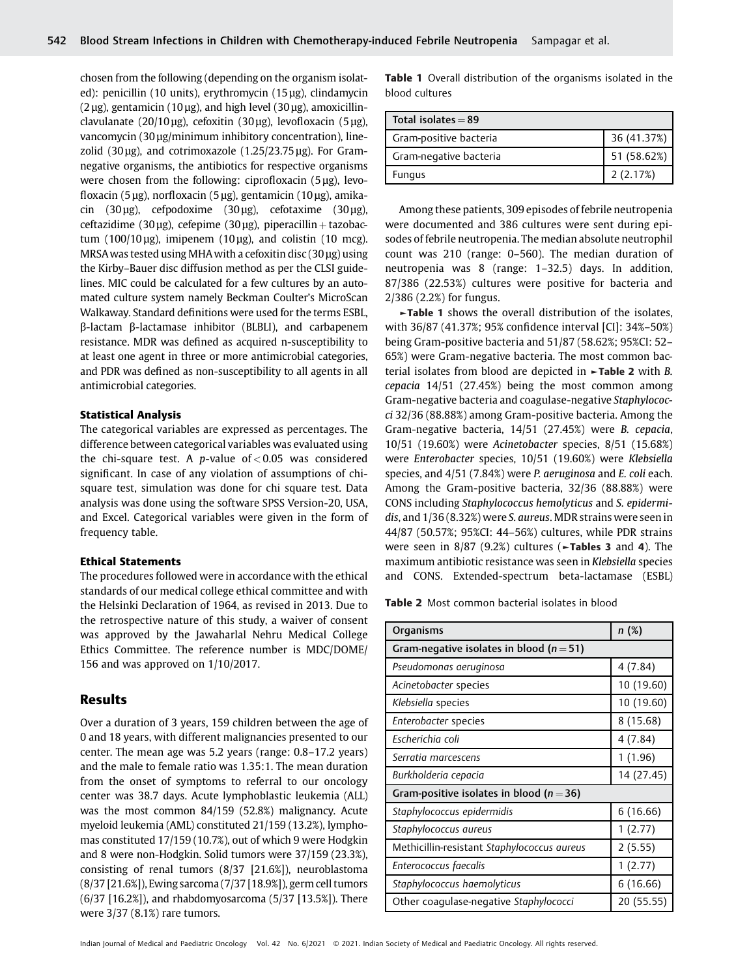chosen from the following (depending on the organism isolated): penicillin (10 units), erythromycin (15 μg), clindamycin  $(2 \mu$ g), gentamicin  $(10 \mu$ g), and high level  $(30 \mu$ g), amoxicillinclavulanate (20/10 μg), cefoxitin (30 μg), levofloxacin (5 μg), vancomycin (30 μg/minimum inhibitory concentration), linezolid (30  $\mu$ g), and cotrimoxazole (1.25/23.75  $\mu$ g). For Gramnegative organisms, the antibiotics for respective organisms were chosen from the following: ciprofloxacin (5 μg), levofloxacin (5 μg), norfloxacin (5 μg), gentamicin (10 μg), amikacin (30 μg), cefpodoxime (30 μg), cefotaxime (30 μg), ceftazidime (30 μg), cefepime (30 μg), piperacillin + tazobactum (100/10 μg), imipenem (10 μg), and colistin (10 mcg). MRSAwas tested using MHAwith a cefoxitin disc (30 μg) using the Kirby–Bauer disc diffusion method as per the CLSI guidelines. MIC could be calculated for a few cultures by an automated culture system namely Beckman Coulter's MicroScan Walkaway. Standard definitions were used for the terms ESBL, β-lactam β-lactamase inhibitor (BLBLI), and carbapenem resistance. MDR was defined as acquired n-susceptibility to at least one agent in three or more antimicrobial categories, and PDR was defined as non-susceptibility to all agents in all antimicrobial categories.

#### Statistical Analysis

The categorical variables are expressed as percentages. The difference between categorical variables was evaluated using the chi-square test. A *p*-value of  $< 0.05$  was considered significant. In case of any violation of assumptions of chisquare test, simulation was done for chi square test. Data analysis was done using the software SPSS Version-20, USA, and Excel. Categorical variables were given in the form of frequency table.

#### Ethical Statements

The procedures followed were in accordance with the ethical standards of our medical college ethical committee and with the Helsinki Declaration of 1964, as revised in 2013. Due to the retrospective nature of this study, a waiver of consent was approved by the Jawaharlal Nehru Medical College Ethics Committee. The reference number is MDC/DOME/ 156 and was approved on 1/10/2017.

#### Results

Over a duration of 3 years, 159 children between the age of 0 and 18 years, with different malignancies presented to our center. The mean age was 5.2 years (range: 0.8–17.2 years) and the male to female ratio was 1.35:1. The mean duration from the onset of symptoms to referral to our oncology center was 38.7 days. Acute lymphoblastic leukemia (ALL) was the most common 84/159 (52.8%) malignancy. Acute myeloid leukemia (AML) constituted 21/159 (13.2%), lymphomas constituted 17/159 (10.7%), out of which 9 were Hodgkin and 8 were non-Hodgkin. Solid tumors were 37/159 (23.3%), consisting of renal tumors (8/37 [21.6%]), neuroblastoma (8/37 [21.6%]), Ewing sarcoma (7/37 [18.9%]), germ cell tumors (6/37 [16.2%]), and rhabdomyosarcoma (5/37 [13.5%]). There were 3/37 (8.1%) rare tumors.

Table 1 Overall distribution of the organisms isolated in the blood cultures

| Total isolates $= 89$  |             |
|------------------------|-------------|
| Gram-positive bacteria | 36 (41.37%) |
| Gram-negative bacteria | 51 (58.62%) |
| <b>Fungus</b>          | 2(2.17%)    |

Among these patients, 309 episodes of febrile neutropenia were documented and 386 cultures were sent during episodes of febrile neutropenia. The median absolute neutrophil count was 210 (range: 0–560). The median duration of neutropenia was 8 (range: 1–32.5) days. In addition, 87/386 (22.53%) cultures were positive for bacteria and 2/386 (2.2%) for fungus.

►Table 1 shows the overall distribution of the isolates, with 36/87 (41.37%; 95% confidence interval [CI]: 34%–50%) being Gram-positive bacteria and 51/87 (58.62%; 95%CI: 52– 65%) were Gram-negative bacteria. The most common bacterial isolates from blood are depicted in ►Table 2 with B. cepacia 14/51 (27.45%) being the most common among Gram-negative bacteria and coagulase-negative Staphylococci 32/36 (88.88%) among Gram-positive bacteria. Among the Gram-negative bacteria, 14/51 (27.45%) were B. cepacia, 10/51 (19.60%) were Acinetobacter species, 8/51 (15.68%) were Enterobacter species, 10/51 (19.60%) were Klebsiella species, and 4/51 (7.84%) were P. aeruginosa and E. coli each. Among the Gram-positive bacteria, 32/36 (88.88%) were CONS including Staphylococcus hemolyticus and S. epidermidis, and 1/36 (8.32%) were S. aureus. MDR strains were seen in 44/87 (50.57%; 95%CI: 44–56%) cultures, while PDR strains were seen in 8/87 (9.2%) cultures ( $\blacktriangleright$ Tables 3 and 4). The maximum antibiotic resistance was seen in Klebsiella species and CONS. Extended-spectrum beta-lactamase (ESBL)

Table 2 Most common bacterial isolates in blood

| <b>Organisms</b>                             | n(%)       |  |  |  |  |
|----------------------------------------------|------------|--|--|--|--|
| Gram-negative isolates in blood ( $n = 51$ ) |            |  |  |  |  |
| Pseudomonas aeruginosa                       | 4(7.84)    |  |  |  |  |
| Acinetobacter species                        | 10 (19.60) |  |  |  |  |
| Klebsiella species                           | 10 (19.60) |  |  |  |  |
| Enterobacter species                         | 8(15.68)   |  |  |  |  |
| Escherichia coli                             | 4(7.84)    |  |  |  |  |
| Serratia marcescens                          | 1(1.96)    |  |  |  |  |
| Burkholderia cepacia                         | 14 (27.45) |  |  |  |  |
| Gram-positive isolates in blood ( $n = 36$ ) |            |  |  |  |  |
| Staphylococcus epidermidis                   | 6(16.66)   |  |  |  |  |
| Staphylococcus aureus                        | 1(2.77)    |  |  |  |  |
| Methicillin-resistant Staphylococcus aureus  | 2(5.55)    |  |  |  |  |
| Enterococcus faecalis                        | 1(2.77)    |  |  |  |  |
| Staphylococcus haemolyticus                  | 6(16.66)   |  |  |  |  |
| Other coagulase-negative Staphylococci       | 20 (55.55) |  |  |  |  |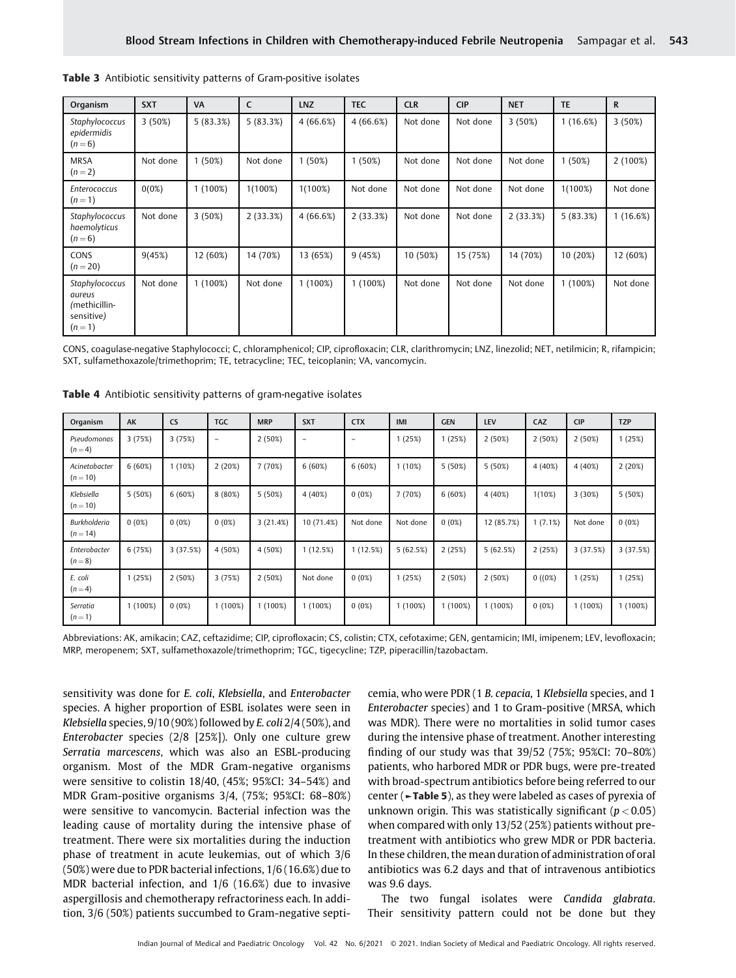| Organism                                                           | <b>SXT</b> | <b>VA</b>  | C          | <b>LNZ</b> | <b>TEC</b> | <b>CLR</b> | <b>CIP</b> | <b>NET</b> | <b>TE</b>  | $\mathsf{R}$ |
|--------------------------------------------------------------------|------------|------------|------------|------------|------------|------------|------------|------------|------------|--------------|
| Staphylococcus<br>epidermidis<br>$(n=6)$                           | 3(50%)     | 5(83.3%)   | 5(83.3%)   | 4(66.6%)   | 4(66.6%)   | Not done   | Not done   | 3(50%)     | 1(16.6%)   | 3(50%)       |
| <b>MRSA</b><br>$(n=2)$                                             | Not done   | 1(50%)     | Not done   | 1(50%)     | 1(50%)     | Not done   | Not done   | Not done   | 1(50%)     | $2(100\%)$   |
| <b>Enterococcus</b><br>$(n=1)$                                     | 0(0%)      | $1(100\%)$ | $1(100\%)$ | $1(100\%)$ | Not done   | Not done   | Not done   | Not done   | $1(100\%)$ | Not done     |
| Staphylococcus<br>haemolyticus<br>$(n=6)$                          | Not done   | 3(50%)     | 2(33.3%)   | 4(66.6%)   | 2(33.3%)   | Not done   | Not done   | 2(33.3%)   | 5(83.3%)   | 1(16.6%)     |
| CONS<br>$(n=20)$                                                   | 9(45%)     | 12 (60%)   | 14 (70%)   | 13 (65%)   | 9(45%)     | 10 (50%)   | 15 (75%)   | 14 (70%)   | 10 (20%)   | 12 (60%)     |
| Staphylococcus<br>aureus<br>/methicillin-<br>sensitive)<br>$(n=1)$ | Not done   | $1(100\%)$ | Not done   | $1(100\%)$ | $1(100\%)$ | Not done   | Not done   | Not done   | $1(100\%)$ | Not done     |

Table 3 Antibiotic sensitivity patterns of Gram-positive isolates

CONS, coagulase-negative Staphylococci; C, chloramphenicol; CIP, ciprofloxacin; CLR, clarithromycin; LNZ, linezolid; NET, netilmicin; R, rifampicin; SXT, sulfamethoxazole/trimethoprim; TE, tetracycline; TEC, teicoplanin; VA, vancomycin.

| Organism                          | AK         | <b>CS</b> | <b>TGC</b>               | <b>MRP</b> | <b>SXT</b>        | <b>CTX</b>      | IMI        | <b>GEN</b> | <b>LEV</b> | CAZ      | <b>CIP</b> | <b>TZP</b> |
|-----------------------------------|------------|-----------|--------------------------|------------|-------------------|-----------------|------------|------------|------------|----------|------------|------------|
| Pseudomonas<br>$(n = 4)$          | 3(75%)     | 3(75%)    | $\overline{\phantom{m}}$ | 2(50%)     | $\qquad \qquad -$ | $\qquad \qquad$ | 1(25%)     | 1(25%)     | 2(50%)     | 2(50%)   | 2(50%)     | 1(25%)     |
| Acinetobacter<br>$(n = 10)$       | 6(60%)     | 1(10%)    | 2(20%)                   | 7 (70%)    | 6(60%)            | 6(60%)          | $1(10\%)$  | 5(50%)     | 5(50%)     | 4 (40%)  | 4 (40%)    | 2(20%)     |
| Klebsiella<br>$(n = 10)$          | 5(50%)     | 6(60%)    | 8(80%)                   | 5(50%)     | 4 (40%)           | $0(0\%)$        | 7 (70%)    | 6(60%)     | 4 (40%)    | 1(10%)   | 3(30%)     | 5 (50%)    |
| <b>Burkholderia</b><br>$(n = 14)$ | 0(0%)      | $0(0\%)$  | 0(0%)                    | 3(21.4%)   | 10 (71.4%)        | Not done        | Not done   | 0(0%)      | 12 (85.7%) | 1(7.1%)  | Not done   | 0(0%)      |
| Enterobacter<br>$(n = 8)$         | 6(75%)     | 3(37.5%)  | 4 (50%)                  | 4 (50%)    | 1(12.5%)          | 1(12.5%)        | 5(62.5%)   | 2(25%)     | 5(62.5%)   | 2(25%)   | 3(37.5%)   | 3(37.5%)   |
| E. coli<br>$(n = 4)$              | 1(25%)     | 2(50%)    | 3(75%)                   | 2(50%)     | Not done          | $0(0\%)$        | 1(25%)     | 2(50%)     | 2(50%)     | 0(0%)    | 1(25%)     | 1(25%)     |
| Serratia<br>$(n = 1)$             | $1(100\%)$ | $0(0\%)$  | 1(100%)                  | $1(100\%)$ | $1(100\%)$        | $0(0\%)$        | $1(100\%)$ | $1(100\%)$ | $1(100\%)$ | $0(0\%)$ | $1(100\%)$ | $1(100\%)$ |

Table 4 Antibiotic sensitivity patterns of gram-negative isolates

Abbreviations: AK, amikacin; CAZ, ceftazidime; CIP, ciprofloxacin; CS, colistin; CTX, cefotaxime; GEN, gentamicin; IMI, imipenem; LEV, levofloxacin; MRP, meropenem; SXT, sulfamethoxazole/trimethoprim; TGC, tigecycline; TZP, piperacillin/tazobactam.

sensitivity was done for E. coli, Klebsiella, and Enterobacter species. A higher proportion of ESBL isolates were seen in Klebsiella species, 9/10 (90%) followed by E. coli 2/4 (50%), and Enterobacter species (2/8 [25%]). Only one culture grew Serratia marcescens, which was also an ESBL-producing organism. Most of the MDR Gram-negative organisms were sensitive to colistin 18/40, (45%; 95%CI: 34–54%) and MDR Gram-positive organisms 3/4, (75%; 95%CI: 68–80%) were sensitive to vancomycin. Bacterial infection was the leading cause of mortality during the intensive phase of treatment. There were six mortalities during the induction phase of treatment in acute leukemias, out of which 3/6 (50%) were due to PDR bacterial infections, 1/6 (16.6%) due to MDR bacterial infection, and 1/6 (16.6%) due to invasive aspergillosis and chemotherapy refractoriness each. In addition, 3/6 (50%) patients succumbed to Gram-negative septicemia, who were PDR (1 B. cepacia, 1 Klebsiella species, and 1 Enterobacter species) and 1 to Gram-positive (MRSA, which was MDR). There were no mortalities in solid tumor cases during the intensive phase of treatment. Another interesting finding of our study was that 39/52 (75%; 95%CI: 70–80%) patients, who harbored MDR or PDR bugs, were pre-treated with broad-spectrum antibiotics before being referred to our center (►Table 5), as they were labeled as cases of pyrexia of unknown origin. This was statistically significant ( $p < 0.05$ ) when compared with only 13/52 (25%) patients without pretreatment with antibiotics who grew MDR or PDR bacteria. In these children, the mean duration of administration of oral antibiotics was 6.2 days and that of intravenous antibiotics was 9.6 days.

The two fungal isolates were Candida glabrata. Their sensitivity pattern could not be done but they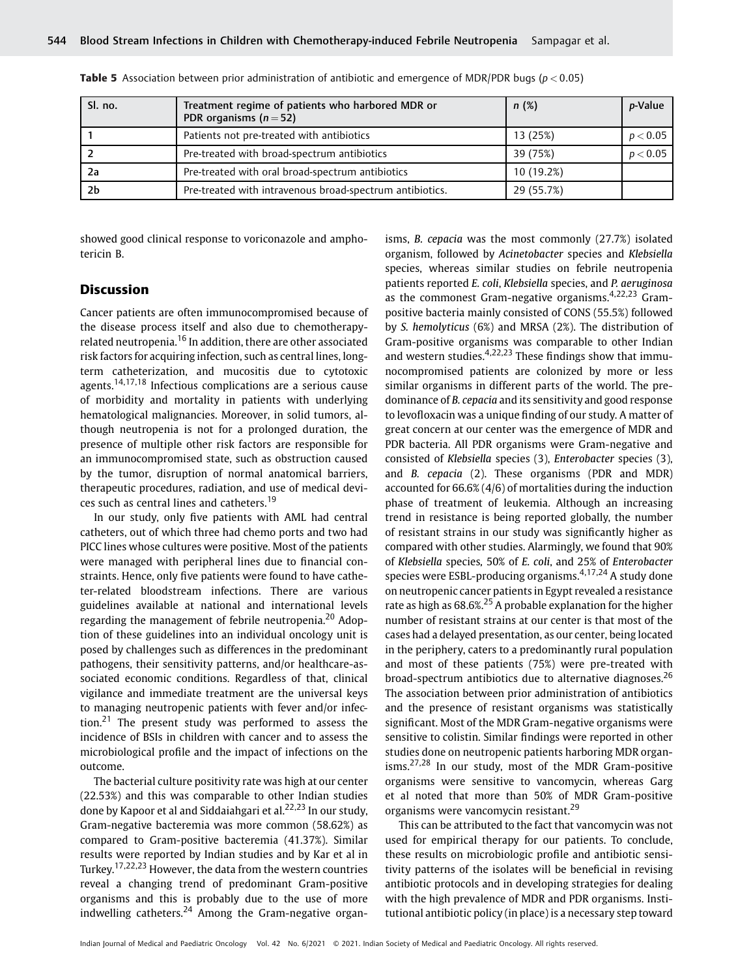| Sl. no.        | Treatment regime of patients who harbored MDR or<br>PDR organisms $(n=52)$ | n(%)       | <i>p</i> -Value |
|----------------|----------------------------------------------------------------------------|------------|-----------------|
|                | Patients not pre-treated with antibiotics                                  | 13 (25%)   | p < 0.05        |
|                | Pre-treated with broad-spectrum antibiotics                                | 39 (75%)   | p < 0.05        |
| -2a            | Pre-treated with oral broad-spectrum antibiotics                           | 10 (19.2%) |                 |
| 2 <sub>b</sub> | Pre-treated with intravenous broad-spectrum antibiotics.                   | 29 (55.7%) |                 |

**Table 5** Association between prior administration of antibiotic and emergence of MDR/PDR bugs ( $p < 0.05$ )

showed good clinical response to voriconazole and amphotericin B.

## **Discussion**

Cancer patients are often immunocompromised because of the disease process itself and also due to chemotherapyrelated neutropenia.<sup>16</sup> In addition, there are other associated risk factors for acquiring infection, such as central lines, longterm catheterization, and mucositis due to cytotoxic agents.<sup>14,17,18</sup> Infectious complications are a serious cause of morbidity and mortality in patients with underlying hematological malignancies. Moreover, in solid tumors, although neutropenia is not for a prolonged duration, the presence of multiple other risk factors are responsible for an immunocompromised state, such as obstruction caused by the tumor, disruption of normal anatomical barriers, therapeutic procedures, radiation, and use of medical devices such as central lines and catheters.<sup>19</sup>

In our study, only five patients with AML had central catheters, out of which three had chemo ports and two had PICC lines whose cultures were positive. Most of the patients were managed with peripheral lines due to financial constraints. Hence, only five patients were found to have catheter-related bloodstream infections. There are various guidelines available at national and international levels regarding the management of febrile neutropenia.<sup>20</sup> Adoption of these guidelines into an individual oncology unit is posed by challenges such as differences in the predominant pathogens, their sensitivity patterns, and/or healthcare-associated economic conditions. Regardless of that, clinical vigilance and immediate treatment are the universal keys to managing neutropenic patients with fever and/or infection.<sup>21</sup> The present study was performed to assess the incidence of BSIs in children with cancer and to assess the microbiological profile and the impact of infections on the outcome.

The bacterial culture positivity rate was high at our center (22.53%) and this was comparable to other Indian studies done by Kapoor et al and Siddaiahgari et al.  $22,23$  In our study, Gram-negative bacteremia was more common (58.62%) as compared to Gram-positive bacteremia (41.37%). Similar results were reported by Indian studies and by Kar et al in Turkey.17,22,23 However, the data from the western countries reveal a changing trend of predominant Gram-positive organisms and this is probably due to the use of more indwelling catheters. $24$  Among the Gram-negative organisms, B. cepacia was the most commonly (27.7%) isolated organism, followed by Acinetobacter species and Klebsiella species, whereas similar studies on febrile neutropenia patients reported E. coli, Klebsiella species, and P. aeruginosa as the commonest Gram-negative organisms. $4,22,23$  Grampositive bacteria mainly consisted of CONS (55.5%) followed by S. hemolyticus (6%) and MRSA (2%). The distribution of Gram-positive organisms was comparable to other Indian and western studies.<sup>4,22,23</sup> These findings show that immunocompromised patients are colonized by more or less similar organisms in different parts of the world. The predominance of B. cepacia and its sensitivity and good response to levofloxacin was a unique finding of our study. A matter of great concern at our center was the emergence of MDR and PDR bacteria. All PDR organisms were Gram-negative and consisted of Klebsiella species (3), Enterobacter species (3), and B. cepacia (2). These organisms (PDR and MDR) accounted for 66.6% (4/6) of mortalities during the induction phase of treatment of leukemia. Although an increasing trend in resistance is being reported globally, the number of resistant strains in our study was significantly higher as compared with other studies. Alarmingly, we found that 90% of Klebsiella species, 50% of E. coli, and 25% of Enterobacter species were ESBL-producing organisms.<sup>4,17,24</sup> A study done on neutropenic cancer patients in Egypt revealed a resistance rate as high as  $68.6\%$ <sup>25</sup> A probable explanation for the higher number of resistant strains at our center is that most of the cases had a delayed presentation, as our center, being located in the periphery, caters to a predominantly rural population and most of these patients (75%) were pre-treated with broad-spectrum antibiotics due to alternative diagnoses.<sup>26</sup> The association between prior administration of antibiotics and the presence of resistant organisms was statistically significant. Most of the MDR Gram-negative organisms were sensitive to colistin. Similar findings were reported in other studies done on neutropenic patients harboring MDR organisms. $27,28$  In our study, most of the MDR Gram-positive organisms were sensitive to vancomycin, whereas Garg et al noted that more than 50% of MDR Gram-positive organisms were vancomycin resistant.<sup>29</sup>

This can be attributed to the fact that vancomycin was not used for empirical therapy for our patients. To conclude, these results on microbiologic profile and antibiotic sensitivity patterns of the isolates will be beneficial in revising antibiotic protocols and in developing strategies for dealing with the high prevalence of MDR and PDR organisms. Institutional antibiotic policy (in place) is a necessary step toward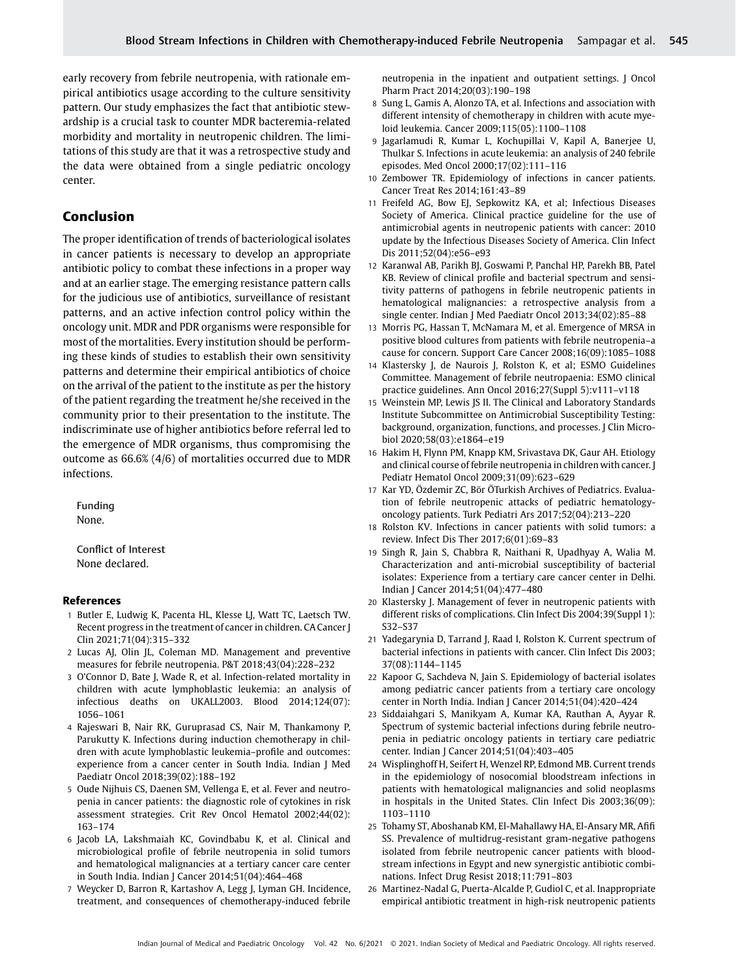early recovery from febrile neutropenia, with rationale empirical antibiotics usage according to the culture sensitivity pattern. Our study emphasizes the fact that antibiotic stewardship is a crucial task to counter MDR bacteremia-related morbidity and mortality in neutropenic children. The limitations of this study are that it was a retrospective study and the data were obtained from a single pediatric oncology center.

# Conclusion

The proper identification of trends of bacteriological isolates in cancer patients is necessary to develop an appropriate antibiotic policy to combat these infections in a proper way and at an earlier stage. The emerging resistance pattern calls for the judicious use of antibiotics, surveillance of resistant patterns, and an active infection control policy within the oncology unit. MDR and PDR organisms were responsible for most of the mortalities. Every institution should be performing these kinds of studies to establish their own sensitivity patterns and determine their empirical antibiotics of choice on the arrival of the patient to the institute as per the history of the patient regarding the treatment he/she received in the community prior to their presentation to the institute. The indiscriminate use of higher antibiotics before referral led to the emergence of MDR organisms, thus compromising the outcome as 66.6% (4/6) of mortalities occurred due to MDR infections.

Funding None.

Conflict of Interest None declared.

### References

- 1 Butler E, Ludwig K, Pacenta HL, Klesse LJ, Watt TC, Laetsch TW. Recent progress in the treatment of cancer in children. CA Cancer J Clin 2021;71(04):315–332
- 2 Lucas AJ, Olin JL, Coleman MD. Management and preventive measures for febrile neutropenia. P&T 2018;43(04):228–232
- 3 O'Connor D, Bate J, Wade R, et al. Infection-related mortality in children with acute lymphoblastic leukemia: an analysis of infectious deaths on UKALL2003. Blood 2014;124(07): 1056–1061
- 4 Rajeswari B, Nair RK, Guruprasad CS, Nair M, Thankamony P, Parukutty K. Infections during induction chemotherapy in children with acute lymphoblastic leukemia–profile and outcomes: experience from a cancer center in South India. Indian J Med Paediatr Oncol 2018;39(02):188–192
- 5 Oude Nijhuis CS, Daenen SM, Vellenga E, et al. Fever and neutropenia in cancer patients: the diagnostic role of cytokines in risk assessment strategies. Crit Rev Oncol Hematol 2002;44(02): 163–174
- 6 Jacob LA, Lakshmaiah KC, Govindbabu K, et al. Clinical and microbiological profile of febrile neutropenia in solid tumors and hematological malignancies at a tertiary cancer care center in South India. Indian J Cancer 2014;51(04):464–468
- 7 Weycker D, Barron R, Kartashov A, Legg J, Lyman GH. Incidence, treatment, and consequences of chemotherapy-induced febrile

neutropenia in the inpatient and outpatient settings. J Oncol Pharm Pract 2014;20(03):190–198

- 8 Sung L, Gamis A, Alonzo TA, et al. Infections and association with different intensity of chemotherapy in children with acute myeloid leukemia. Cancer 2009;115(05):1100–1108
- 9 Jagarlamudi R, Kumar L, Kochupillai V, Kapil A, Banerjee U, Thulkar S. Infections in acute leukemia: an analysis of 240 febrile episodes. Med Oncol 2000;17(02):111–116
- 10 Zembower TR. Epidemiology of infections in cancer patients. Cancer Treat Res 2014;161:43–89
- 11 Freifeld AG, Bow EJ, Sepkowitz KA, et al; Infectious Diseases Society of America. Clinical practice guideline for the use of antimicrobial agents in neutropenic patients with cancer: 2010 update by the Infectious Diseases Society of America. Clin Infect Dis 2011;52(04):e56–e93
- 12 Karanwal AB, Parikh BJ, Goswami P, Panchal HP, Parekh BB, Patel KB. Review of clinical profile and bacterial spectrum and sensitivity patterns of pathogens in febrile neutropenic patients in hematological malignancies: a retrospective analysis from a single center. Indian J Med Paediatr Oncol 2013;34(02):85–88
- 13 Morris PG, Hassan T, McNamara M, et al. Emergence of MRSA in positive blood cultures from patients with febrile neutropenia–a cause for concern. Support Care Cancer 2008;16(09):1085–1088
- 14 Klastersky J, de Naurois J, Rolston K, et al; ESMO Guidelines Committee. Management of febrile neutropaenia: ESMO clinical practice guidelines. Ann Oncol 2016;27(Suppl 5):v111–v118
- 15 Weinstein MP, Lewis JS II. The Clinical and Laboratory Standards Institute Subcommittee on Antimicrobial Susceptibility Testing: background, organization, functions, and processes. J Clin Microbiol 2020;58(03):e1864–e19
- 16 Hakim H, Flynn PM, Knapp KM, Srivastava DK, Gaur AH. Etiology and clinical course of febrile neutropenia in children with cancer. J Pediatr Hematol Oncol 2009;31(09):623–629
- 17 Kar YD, Özdemir ZC, Bör ÖTurkish Archives of Pediatrics. Evaluation of febrile neutropenic attacks of pediatric hematologyoncology patients. Turk Pediatri Ars 2017;52(04):213–220
- 18 Rolston KV. Infections in cancer patients with solid tumors: a review. Infect Dis Ther 2017;6(01):69–83
- 19 Singh R, Jain S, Chabbra R, Naithani R, Upadhyay A, Walia M. Characterization and anti-microbial susceptibility of bacterial isolates: Experience from a tertiary care cancer center in Delhi. Indian J Cancer 2014;51(04):477–480
- 20 Klastersky J. Management of fever in neutropenic patients with different risks of complications. Clin Infect Dis 2004;39(Suppl 1): S32–S37
- 21 Yadegarynia D, Tarrand J, Raad I, Rolston K. Current spectrum of bacterial infections in patients with cancer. Clin Infect Dis 2003; 37(08):1144–1145
- 22 Kapoor G, Sachdeva N, Jain S. Epidemiology of bacterial isolates among pediatric cancer patients from a tertiary care oncology center in North India. Indian J Cancer 2014;51(04):420–424
- 23 Siddaiahgari S, Manikyam A, Kumar KA, Rauthan A, Ayyar R. Spectrum of systemic bacterial infections during febrile neutropenia in pediatric oncology patients in tertiary care pediatric center. Indian J Cancer 2014;51(04):403–405
- 24 Wisplinghoff H, Seifert H, Wenzel RP, Edmond MB. Current trends in the epidemiology of nosocomial bloodstream infections in patients with hematological malignancies and solid neoplasms in hospitals in the United States. Clin Infect Dis 2003;36(09): 1103–1110
- 25 Tohamy ST, Aboshanab KM, El-Mahallawy HA, El-Ansary MR, Afifi SS. Prevalence of multidrug-resistant gram-negative pathogens isolated from febrile neutropenic cancer patients with bloodstream infections in Egypt and new synergistic antibiotic combinations. Infect Drug Resist 2018;11:791–803
- 26 Martinez-Nadal G, Puerta-Alcalde P, Gudiol C, et al. Inappropriate empirical antibiotic treatment in high-risk neutropenic patients